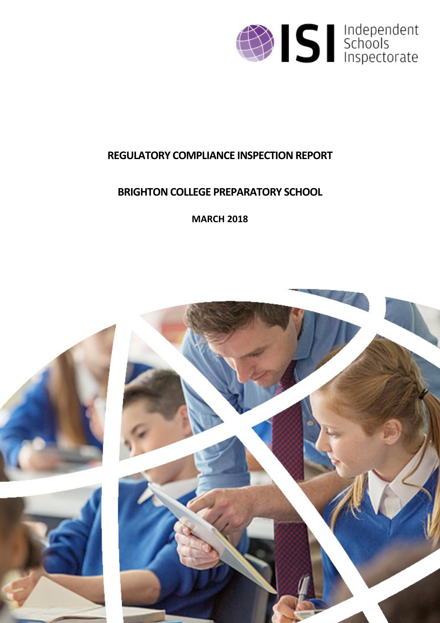

## **REGULATORY COMPLIANCE INSPECTION REPORT**

# **BRIGHTONCOLLEGE PREPARATORY SCHOOL**

**MARCH 2018**

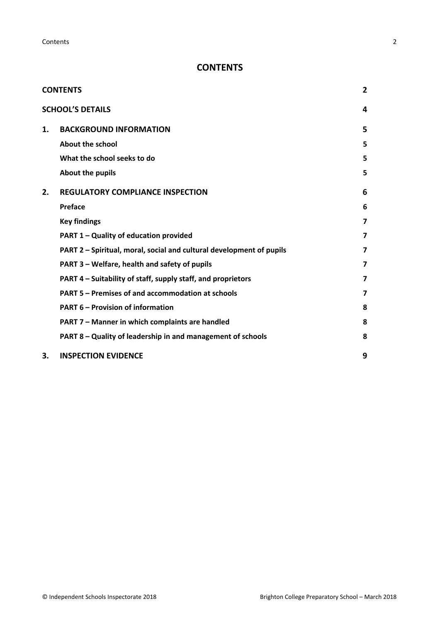## <span id="page-1-0"></span>**CONTENTS**

| <b>CONTENTS</b> |                                                                      |   |
|-----------------|----------------------------------------------------------------------|---|
|                 | <b>SCHOOL'S DETAILS</b>                                              | 4 |
| 1.              | <b>BACKGROUND INFORMATION</b>                                        | 5 |
|                 | About the school                                                     | 5 |
|                 | What the school seeks to do                                          | 5 |
|                 | About the pupils                                                     | 5 |
| 2.              | <b>REGULATORY COMPLIANCE INSPECTION</b>                              | 6 |
|                 | Preface                                                              | 6 |
|                 | <b>Key findings</b>                                                  | 7 |
|                 | PART 1 - Quality of education provided                               | 7 |
|                 | PART 2 - Spiritual, moral, social and cultural development of pupils | 7 |
|                 | PART 3 – Welfare, health and safety of pupils                        | 7 |
|                 | PART 4 – Suitability of staff, supply staff, and proprietors         | 7 |
|                 | PART 5 - Premises of and accommodation at schools                    | 7 |
|                 | <b>PART 6 - Provision of information</b>                             | 8 |
|                 | PART 7 - Manner in which complaints are handled                      | 8 |
|                 | PART 8 - Quality of leadership in and management of schools          | 8 |
| 3.              | <b>INSPECTION EVIDENCE</b>                                           | 9 |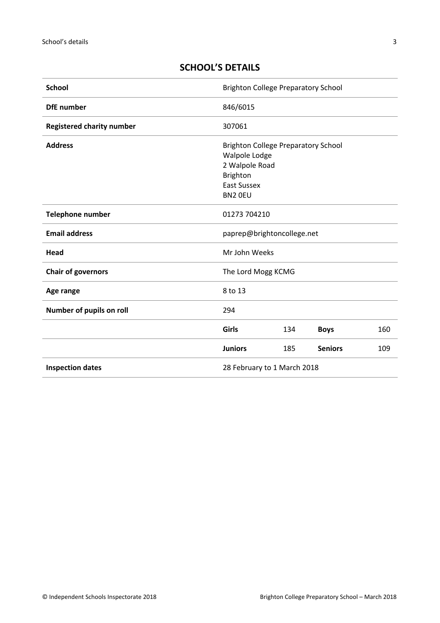## <span id="page-2-0"></span>**SCHOOL'S DETAILS**

| <b>School</b>                    | <b>Brighton College Preparatory School</b>                                                                                        |     |                |     |
|----------------------------------|-----------------------------------------------------------------------------------------------------------------------------------|-----|----------------|-----|
| <b>DfE</b> number                | 846/6015                                                                                                                          |     |                |     |
| <b>Registered charity number</b> | 307061                                                                                                                            |     |                |     |
| <b>Address</b>                   | <b>Brighton College Preparatory School</b><br>Walpole Lodge<br>2 Walpole Road<br>Brighton<br><b>East Sussex</b><br><b>BN2 OEU</b> |     |                |     |
| <b>Telephone number</b>          | 01273 704210                                                                                                                      |     |                |     |
| <b>Email address</b>             | paprep@brightoncollege.net                                                                                                        |     |                |     |
| Head                             | Mr John Weeks                                                                                                                     |     |                |     |
| <b>Chair of governors</b>        | The Lord Mogg KCMG                                                                                                                |     |                |     |
| Age range                        | 8 to 13                                                                                                                           |     |                |     |
| Number of pupils on roll         | 294                                                                                                                               |     |                |     |
|                                  | Girls                                                                                                                             | 134 | <b>Boys</b>    | 160 |
|                                  | <b>Juniors</b>                                                                                                                    | 185 | <b>Seniors</b> | 109 |
| <b>Inspection dates</b>          | 28 February to 1 March 2018                                                                                                       |     |                |     |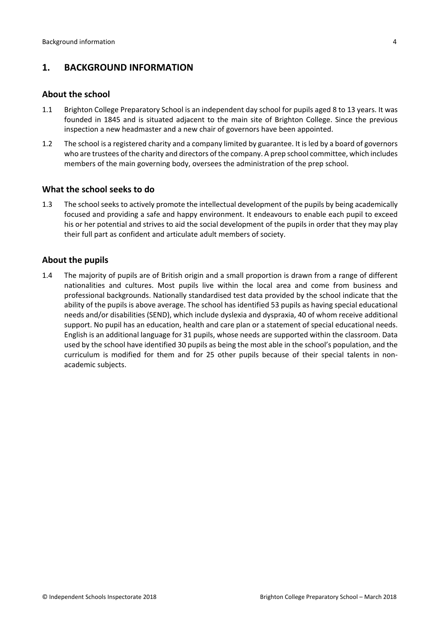## <span id="page-3-0"></span>**1. BACKGROUND INFORMATION**

#### <span id="page-3-1"></span>**About the school**

- 1.1 Brighton College Preparatory School is an independent day school for pupils aged 8 to 13 years. It was founded in 1845 and is situated adjacent to the main site of Brighton College. Since the previous inspection a new headmaster and a new chair of governors have been appointed.
- 1.2 The school is a registered charity and a company limited by guarantee. It isled by a board of governors who are trustees of the charity and directors of the company. A prep school committee, which includes members of the main governing body, oversees the administration of the prep school.

#### <span id="page-3-2"></span>**What the school seeks to do**

1.3 The school seeks to actively promote the intellectual development of the pupils by being academically focused and providing a safe and happy environment. It endeavours to enable each pupil to exceed his or her potential and strives to aid the social development of the pupils in order that they may play their full part as confident and articulate adult members of society.

#### <span id="page-3-3"></span>**About the pupils**

1.4 The majority of pupils are of British origin and a small proportion is drawn from a range of different nationalities and cultures. Most pupils live within the local area and come from business and professional backgrounds. Nationally standardised test data provided by the school indicate that the ability of the pupils is above average. The school has identified 53 pupils as having special educational needs and/or disabilities (SEND), which include dyslexia and dyspraxia, 40 of whom receive additional support. No pupil has an education, health and care plan or a statement of special educational needs. English is an additional language for 31 pupils, whose needs are supported within the classroom. Data used by the school have identified 30 pupils as being the most able in the school's population, and the curriculum is modified for them and for 25 other pupils because of their special talents in nonacademic subjects.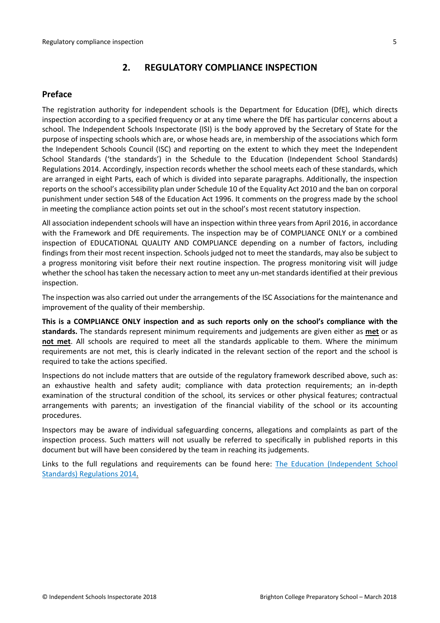## <span id="page-4-0"></span>**2. REGULATORY COMPLIANCE INSPECTION**

## <span id="page-4-1"></span>**Preface**

The registration authority for independent schools is the Department for Education (DfE), which directs inspection according to a specified frequency or at any time where the DfE has particular concerns about a school. The Independent Schools Inspectorate (ISI) is the body approved by the Secretary of State for the purpose of inspecting schools which are, or whose heads are, in membership of the associations which form the Independent Schools Council (ISC) and reporting on the extent to which they meet the Independent School Standards ('the standards') in the Schedule to the Education (Independent School Standards) Regulations 2014. Accordingly, inspection records whether the school meets each of these standards, which are arranged in eight Parts, each of which is divided into separate paragraphs. Additionally, the inspection reports on the school's accessibility plan under Schedule 10 of the Equality Act 2010 and the ban on corporal punishment under section 548 of the Education Act 1996. It comments on the progress made by the school in meeting the compliance action points set out in the school's most recent statutory inspection.

All association independent schools will have an inspection within three yearsfrom April 2016, in accordance with the Framework and DfE requirements. The inspection may be of COMPLIANCE ONLY or a combined inspection of EDUCATIONAL QUALITY AND COMPLIANCE depending on a number of factors, including findings from their most recent inspection. Schools judged not to meet the standards, may also be subject to a progress monitoring visit before their next routine inspection. The progress monitoring visit will judge whether the school has taken the necessary action to meet any un-met standards identified at their previous inspection.

The inspection was also carried out under the arrangements of the ISC Associations for the maintenance and improvement of the quality of their membership.

**This is a COMPLIANCE ONLY inspection and as such reports only on the school's compliance with the standards.** The standards represent minimum requirements and judgements are given either as **met** or as **not met**. All schools are required to meet all the standards applicable to them. Where the minimum requirements are not met, this is clearly indicated in the relevant section of the report and the school is required to take the actions specified.

Inspections do not include matters that are outside of the regulatory framework described above, such as: an exhaustive health and safety audit; compliance with data protection requirements; an in-depth examination of the structural condition of the school, its services or other physical features; contractual arrangements with parents; an investigation of the financial viability of the school or its accounting procedures.

Inspectors may be aware of individual safeguarding concerns, allegations and complaints as part of the inspection process. Such matters will not usually be referred to specifically in published reports in this document but will have been considered by the team in reaching its judgements.

Links to the full regulations and requirements can be found here: The Education [\(Independent](http://www.legislation.gov.uk/uksi/2014/3283/contents/made) School Standards) [Regulations](http://www.legislation.gov.uk/uksi/2014/3283/contents/made) 2014.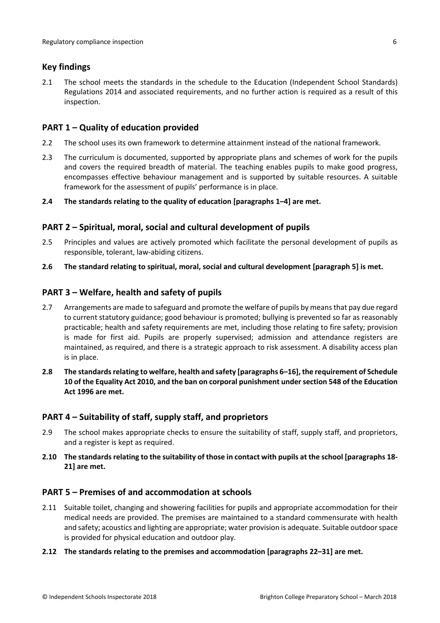## <span id="page-5-0"></span>**Key findings**

2.1 The school meets the standards in the schedule to the Education (Independent School Standards) Regulations 2014 and associated requirements, and no further action is required as a result of this inspection.

#### <span id="page-5-1"></span>**PART 1 – Quality of education provided**

- 2.2 The school uses its own framework to determine attainment instead of the national framework.
- 2.3 The curriculum is documented, supported by appropriate plans and schemes of work for the pupils and covers the required breadth of material. The teaching enables pupils to make good progress, encompasses effective behaviour management and is supported by suitable resources. A suitable framework for the assessment of pupils' performance is in place.

#### **2.4 The standards relating to the quality of education [paragraphs 1–4] are met.**

### <span id="page-5-2"></span>**PART 2 – Spiritual, moral, social and cultural development of pupils**

- 2.5 Principles and values are actively promoted which facilitate the personal development of pupils as responsible, tolerant, law-abiding citizens.
- **2.6 The standard relating to spiritual, moral, social and cultural development [paragraph 5] is met.**

### <span id="page-5-3"></span>**PART 3 – Welfare, health and safety of pupils**

- 2.7 Arrangements are made to safeguard and promote the welfare of pupils by means that pay due regard to current statutory guidance; good behaviour is promoted; bullying is prevented so far as reasonably practicable; health and safety requirements are met, including those relating to fire safety; provision is made for first aid. Pupils are properly supervised; admission and attendance registers are maintained, as required, and there is a strategic approach to risk assessment. A disability access plan is in place.
- **2.8 The standardsrelating to welfare, health and safety [paragraphs 6–16], the requirement of Schedule 10 of the Equality Act 2010, and the ban on corporal punishment undersection 548 of the Education Act 1996 are met.**

#### <span id="page-5-4"></span>**PART 4 – Suitability of staff, supply staff, and proprietors**

- 2.9 The school makes appropriate checks to ensure the suitability of staff, supply staff, and proprietors, and a register is kept as required.
- 2.10 The standards relating to the suitability of those in contact with pupils at the school [paragraphs 18-**21] are met.**

#### <span id="page-5-5"></span>**PART 5 – Premises of and accommodation at schools**

2.11 Suitable toilet, changing and showering facilities for pupils and appropriate accommodation for their medical needs are provided. The premises are maintained to a standard commensurate with health and safety; acoustics and lighting are appropriate; water provision is adequate. Suitable outdoorspace is provided for physical education and outdoor play.

#### **2.12 The standards relating to the premises and accommodation [paragraphs 22–31] are met.**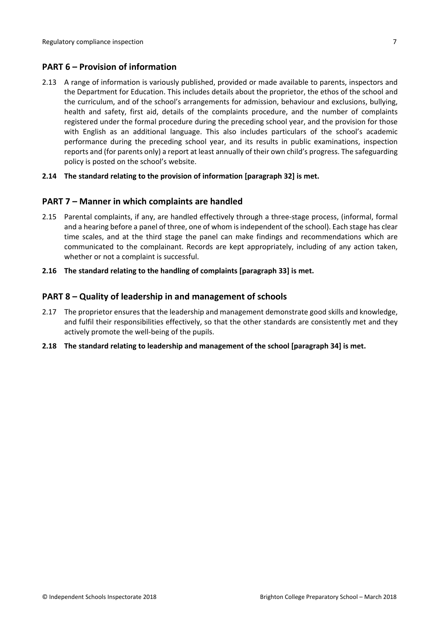## <span id="page-6-0"></span>**PART 6 – Provision of information**

2.13 A range of information is variously published, provided or made available to parents, inspectors and the Department for Education. This includes details about the proprietor, the ethos of the school and the curriculum, and of the school's arrangements for admission, behaviour and exclusions, bullying, health and safety, first aid, details of the complaints procedure, and the number of complaints registered under the formal procedure during the preceding school year, and the provision for those with English as an additional language. This also includes particulars of the school's academic performance during the preceding school year, and its results in public examinations, inspection reports and (for parents only) a report at least annually of their own child's progress. The safeguarding policy is posted on the school's website.

#### **2.14 The standard relating to the provision of information [paragraph 32] is met.**

#### <span id="page-6-1"></span>**PART 7 – Manner in which complaints are handled**

- 2.15 Parental complaints, if any, are handled effectively through a three-stage process, (informal, formal and a hearing before a panel of three, one of whom is independent of the school). Each stage has clear time scales, and at the third stage the panel can make findings and recommendations which are communicated to the complainant. Records are kept appropriately, including of any action taken, whether or not a complaint is successful.
- **2.16 The standard relating to the handling of complaints [paragraph 33] is met.**

#### <span id="page-6-2"></span>**PART 8 – Quality of leadership in and management of schools**

- 2.17 The proprietor ensures that the leadership and management demonstrate good skills and knowledge, and fulfil their responsibilities effectively, so that the other standards are consistently met and they actively promote the well-being of the pupils.
- **2.18 The standard relating to leadership and management of the school [paragraph 34] is met.**